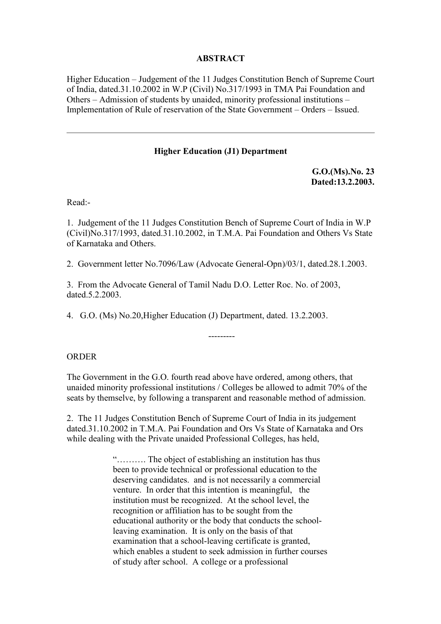## **ABSTRACT**

Higher Education – Judgement of the 11 Judges Constitution Bench of Supreme Court of India, dated.31.10.2002 in W.P (Civil) No.317/1993 in TMA Pai Foundation and Others – Admission of students by unaided, minority professional institutions – Implementation of Rule of reservation of the State Government – Orders – Issued.

#### **Higher Education (J1) Department**

**G.O.(Ms).No. 23 Dated:13.2.2003.**

Read:-

1. Judgement of the 11 Judges Constitution Bench of Supreme Court of India in W.P (Civil)No.317/1993, dated.31.10.2002, in T.M.A. Pai Foundation and Others Vs State of Karnataka and Others.

2. Government letter No.7096/Law (Advocate General-Opn)/03/1, dated.28.1.2003.

3. From the Advocate General of Tamil Nadu D.O. Letter Roc. No. of 2003, dated.5.2.2003.

4. G.O. (Ms) No.20,Higher Education (J) Department, dated. 13.2.2003.

ORDER

The Government in the G.O. fourth read above have ordered, among others, that unaided minority professional institutions / Colleges be allowed to admit 70% of the seats by themselve, by following a transparent and reasonable method of admission.

---------

2. The 11 Judges Constitution Bench of Supreme Court of India in its judgement dated.31.10.2002 in T.M.A. Pai Foundation and Ors Vs State of Karnataka and Ors while dealing with the Private unaided Professional Colleges, has held,

> "………. The object of establishing an institution has thus been to provide technical or professional education to the deserving candidates. and is not necessarily a commercial venture. In order that this intention is meaningful, the institution must be recognized. At the school level, the recognition or affiliation has to be sought from the educational authority or the body that conducts the schoolleaving examination. It is only on the basis of that examination that a school-leaving certificate is granted, which enables a student to seek admission in further courses of study after school. A college or a professional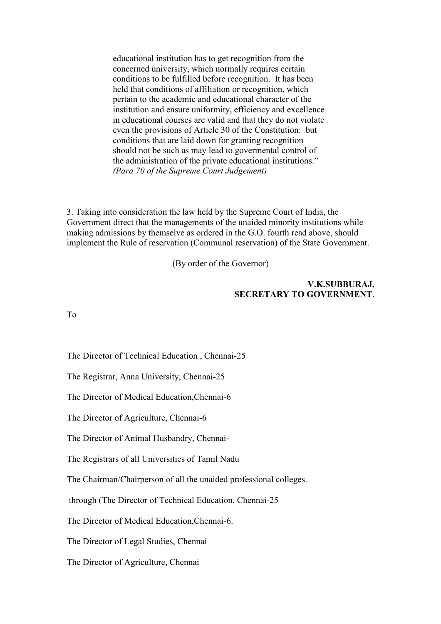educational institution has to get recognition from the concerned university, which normally requires certain conditions to be fulfilled before recognition. It has been held that conditions of affiliation or recognition, which pertain to the academic and educational character of the institution and ensure uniformity, efficiency and excellence in educational courses are valid and that they do not violate even the provisions of Article 30 of the Constitution: but conditions that are laid down for granting recognition should not be such as may lead to govermental control of the administration of the private educational institutions." *(Para 70 of the Supreme Court Judgement)*

3. Taking into consideration the law held by the Supreme Court of India, the Government direct that the managements of the unaided minority institutions while making admissions by themselve as ordered in the G.O. fourth read above, should implement the Rule of reservation (Communal reservation) of the State Government.

(By order of the Governor)

#### **V.K.SUBBURAJ, SECRETARY TO GOVERNMENT**.

To

The Director of Technical Education , Chennai-25

The Registrar, Anna University, Chennai-25

The Director of Medical Education,Chennai-6

The Director of Agriculture, Chennai-6

The Director of Animal Husbandry, Chennai-

The Registrars of all Universities of Tamil Nadu

The Chairman/Chairperson of all the unaided professional colleges.

through (The Director of Technical Education, Chennai-25

The Director of Medical Education,Chennai-6.

The Director of Legal Studies, Chennai

The Director of Agriculture, Chennai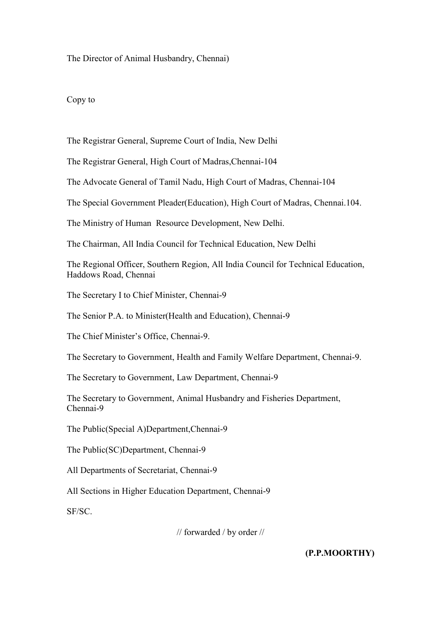#### The Director of Animal Husbandry, Chennai)

#### Copy to

The Registrar General, Supreme Court of India, New Delhi

The Registrar General, High Court of Madras,Chennai-104

The Advocate General of Tamil Nadu, High Court of Madras, Chennai-104

The Special Government Pleader(Education), High Court of Madras, Chennai.104.

The Ministry of Human Resource Development, New Delhi.

The Chairman, All India Council for Technical Education, New Delhi

The Regional Officer, Southern Region, All India Council for Technical Education, Haddows Road, Chennai

The Secretary I to Chief Minister, Chennai-9

The Senior P.A. to Minister(Health and Education), Chennai-9

The Chief Minister's Office, Chennai-9.

The Secretary to Government, Health and Family Welfare Department, Chennai-9.

The Secretary to Government, Law Department, Chennai-9

The Secretary to Government, Animal Husbandry and Fisheries Department, Chennai-9

The Public(Special A)Department,Chennai-9

The Public(SC)Department, Chennai-9

All Departments of Secretariat, Chennai-9

All Sections in Higher Education Department, Chennai-9

SF/SC.

// forwarded / by order //

**(P.P.MOORTHY)**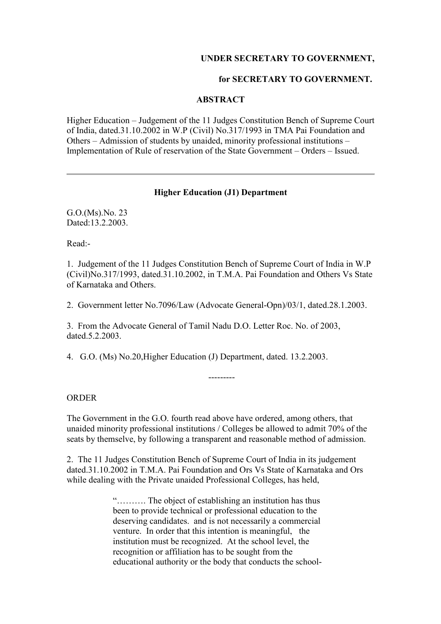### **UNDER SECRETARY TO GOVERNMENT,**

#### **for SECRETARY TO GOVERNMENT.**

#### **ABSTRACT**

Higher Education – Judgement of the 11 Judges Constitution Bench of Supreme Court of India, dated.31.10.2002 in W.P (Civil) No.317/1993 in TMA Pai Foundation and Others – Admission of students by unaided, minority professional institutions – Implementation of Rule of reservation of the State Government – Orders – Issued.

### **Higher Education (J1) Department**

G.O.(Ms).No. 23 Dated:13.2.2003.

Read:-

1. Judgement of the 11 Judges Constitution Bench of Supreme Court of India in W.P (Civil)No.317/1993, dated.31.10.2002, in T.M.A. Pai Foundation and Others Vs State of Karnataka and Others.

2. Government letter No.7096/Law (Advocate General-Opn)/03/1, dated.28.1.2003.

3. From the Advocate General of Tamil Nadu D.O. Letter Roc. No. of 2003, dated.5.2.2003.

4. G.O. (Ms) No.20,Higher Education (J) Department, dated. 13.2.2003.

**ORDER** 

The Government in the G.O. fourth read above have ordered, among others, that unaided minority professional institutions / Colleges be allowed to admit 70% of the seats by themselve, by following a transparent and reasonable method of admission.

---------

2. The 11 Judges Constitution Bench of Supreme Court of India in its judgement dated.31.10.2002 in T.M.A. Pai Foundation and Ors Vs State of Karnataka and Ors while dealing with the Private unaided Professional Colleges, has held,

> "………. The object of establishing an institution has thus been to provide technical or professional education to the deserving candidates. and is not necessarily a commercial venture. In order that this intention is meaningful, the institution must be recognized. At the school level, the recognition or affiliation has to be sought from the educational authority or the body that conducts the school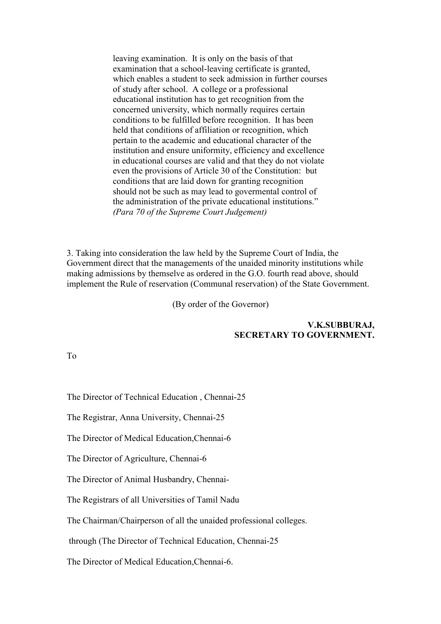leaving examination. It is only on the basis of that examination that a school-leaving certificate is granted, which enables a student to seek admission in further courses of study after school. A college or a professional educational institution has to get recognition from the concerned university, which normally requires certain conditions to be fulfilled before recognition. It has been held that conditions of affiliation or recognition, which pertain to the academic and educational character of the institution and ensure uniformity, efficiency and excellence in educational courses are valid and that they do not violate even the provisions of Article 30 of the Constitution: but conditions that are laid down for granting recognition should not be such as may lead to govermental control of the administration of the private educational institutions." *(Para 70 of the Supreme Court Judgement)*

3. Taking into consideration the law held by the Supreme Court of India, the Government direct that the managements of the unaided minority institutions while making admissions by themselve as ordered in the G.O. fourth read above, should implement the Rule of reservation (Communal reservation) of the State Government.

(By order of the Governor)

#### **V.K.SUBBURAJ, SECRETARY TO GOVERNMENT.**

To

The Director of Technical Education , Chennai-25

The Registrar, Anna University, Chennai-25

The Director of Medical Education,Chennai-6

The Director of Agriculture, Chennai-6

The Director of Animal Husbandry, Chennai-

The Registrars of all Universities of Tamil Nadu

The Chairman/Chairperson of all the unaided professional colleges.

through (The Director of Technical Education, Chennai-25

The Director of Medical Education,Chennai-6.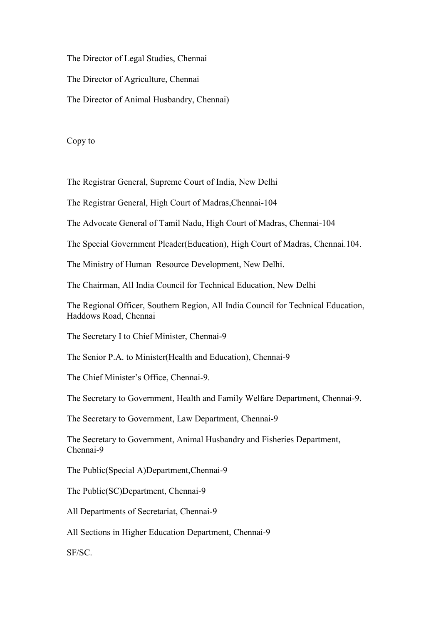The Director of Legal Studies, Chennai

The Director of Agriculture, Chennai

The Director of Animal Husbandry, Chennai)

Copy to

The Registrar General, Supreme Court of India, New Delhi

The Registrar General, High Court of Madras,Chennai-104

The Advocate General of Tamil Nadu, High Court of Madras, Chennai-104

The Special Government Pleader(Education), High Court of Madras, Chennai.104.

The Ministry of Human Resource Development, New Delhi.

The Chairman, All India Council for Technical Education, New Delhi

The Regional Officer, Southern Region, All India Council for Technical Education, Haddows Road, Chennai

The Secretary I to Chief Minister, Chennai-9

The Senior P.A. to Minister(Health and Education), Chennai-9

The Chief Minister's Office, Chennai-9.

The Secretary to Government, Health and Family Welfare Department, Chennai-9.

The Secretary to Government, Law Department, Chennai-9

The Secretary to Government, Animal Husbandry and Fisheries Department, Chennai-9

The Public(Special A)Department,Chennai-9

The Public(SC)Department, Chennai-9

All Departments of Secretariat, Chennai-9

All Sections in Higher Education Department, Chennai-9

SF/SC.